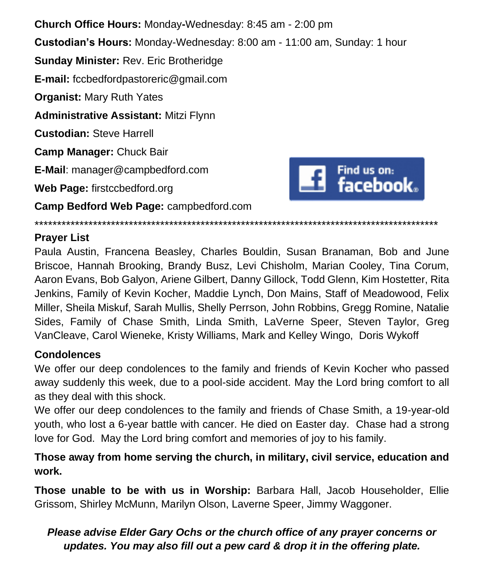**Church Office Hours:** Monday**-**Wednesday: 8:45 am - 2:00 pm **Custodian's Hours:** Monday-Wednesday: 8:00 am - 11:00 am, Sunday: 1 hour **Sunday Minister:** Rev. Eric Brotheridge **E-mail:** fccbedfordpastoreric@gmail.com **Organist:** Mary Ruth Yates **Administrative Assistant:** Mitzi Flynn **Custodian:** Steve Harrell **Camp Manager:** Chuck Bair **E-Mail**: manager@campbedford.com Find us on: **Fing us on:**<br>facebook. **Web Page:** firstccbedford.org **Camp Bedford Web Page:** campbedford.com

\*\*\*\*\*\*\*\*\*\*\*\*\*\*\*\*\*\*\*\*\*\*\*\*\*\*\*\*\*\*\*\*\*\*\*\*\*\*\*\*\*\*\*\*\*\*\*\*\*\*\*\*\*\*\*\*\*\*\*\*\*\*\*\*\*\*\*\*\*\*\*\*\*\*\*\*\*\*\*\*\*\*\*\*\*\*\*\*\*\*

## **Prayer List**

Paula Austin, Francena Beasley, Charles Bouldin, Susan Branaman, Bob and June Briscoe, Hannah Brooking, Brandy Busz, Levi Chisholm, Marian Cooley, Tina Corum, Aaron Evans, Bob Galyon, Ariene Gilbert, Danny Gillock, Todd Glenn, Kim Hostetter, Rita Jenkins, Family of Kevin Kocher, Maddie Lynch, Don Mains, Staff of Meadowood, Felix Miller, Sheila Miskuf, Sarah Mullis, Shelly Perrson, John Robbins, Gregg Romine, Natalie Sides, Family of Chase Smith, Linda Smith, LaVerne Speer, Steven Taylor, Greg VanCleave, Carol Wieneke, Kristy Williams, Mark and Kelley Wingo, Doris Wykoff

## **Condolences**

We offer our deep condolences to the family and friends of Kevin Kocher who passed away suddenly this week, due to a pool-side accident. May the Lord bring comfort to all as they deal with this shock.

We offer our deep condolences to the family and friends of Chase Smith, a 19-year-old youth, who lost a 6-year battle with cancer. He died on Easter day. Chase had a strong love for God. May the Lord bring comfort and memories of joy to his family.

**Those away from home serving the church, in military, civil service, education and work.**

**Those unable to be with us in Worship:** Barbara Hall, Jacob Householder, Ellie Grissom, Shirley McMunn, Marilyn Olson, Laverne Speer, Jimmy Waggoner.

## *Please advise Elder Gary Ochs or the church office of any prayer concerns or updates. You may also fill out a pew card & drop it in the offering plate.*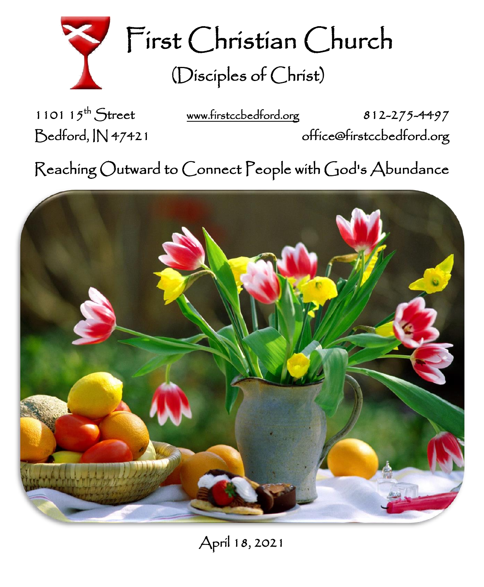

First Christian Church (Disciples of Christ)

1101  $15^{th}$  Street

[www.firstccbedford.org](http://www.firstccbedford.org/) 812-275-4497

Bedford, IN 47421 office@firstccbedford.org

 $\sf Reaching~Outward$  to  $\sf C$ onnect  $\sf P$ eople with  $\sf C$ od's  $\sf Abundance$ 

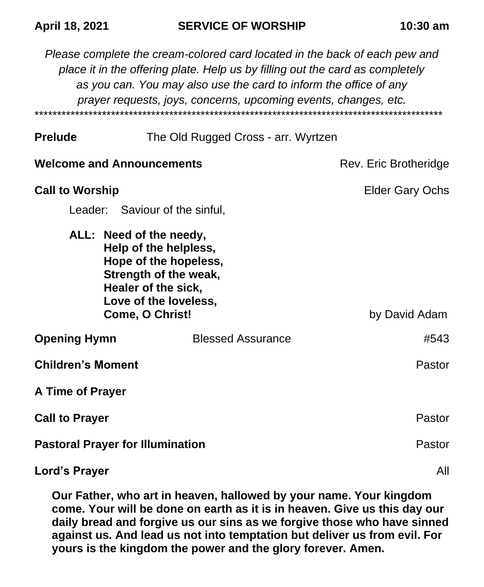*Please complete the cream-colored card located in the back of each pew and place it in the offering plate. Help us by filling out the card as completely as you can. You may also use the card to inform the office of any prayer requests, joys, concerns, upcoming events, changes, etc.*  \*\*\*\*\*\*\*\*\*\*\*\*\*\*\*\*\*\*\*\*\*\*\*\*\*\*\*\*\*\*\*\*\*\*\*\*\*\*\*\*\*\*\*\*\*\*\*\*\*\*\*\*\*\*\*\*\*\*\*\*\*\*\*\*\*\*\*\*\*\*\*\*\*\*\*\*\*\*\*\*\*\*\*\*\*\*\*\*\*\*\*

| The Old Rugged Cross - arr. Wyrtzen<br><b>Prelude</b> |  |
|-------------------------------------------------------|--|
|-------------------------------------------------------|--|

| <b>Welcome and Announcements</b>                                  |                                                                                                  | Rev. Eric Brotheridge  |
|-------------------------------------------------------------------|--------------------------------------------------------------------------------------------------|------------------------|
| <b>Call to Worship</b><br>Leader: Saviour of the sinful,          |                                                                                                  | <b>Elder Gary Ochs</b> |
| ALL: Need of the needy,<br>Healer of the sick,<br>Come, O Christ! | Help of the helpless,<br>Hope of the hopeless,<br>Strength of the weak,<br>Love of the loveless, | by David Adam          |
| <b>Opening Hymn</b>                                               | <b>Blessed Assurance</b>                                                                         | #543                   |
| <b>Children's Moment</b>                                          |                                                                                                  | Pastor                 |
| A Time of Prayer                                                  |                                                                                                  |                        |
| <b>Call to Prayer</b>                                             |                                                                                                  | Pastor                 |
| <b>Pastoral Prayer for Illumination</b>                           |                                                                                                  | Pastor                 |
| Lord's Prayer                                                     |                                                                                                  | All                    |

**Our Father, who art in heaven, hallowed by your name. Your kingdom come. Your will be done on earth as it is in heaven. Give us this day our daily bread and forgive us our sins as we forgive those who have sinned against us. And lead us not into temptation but deliver us from evil. For yours is the kingdom the power and the glory forever. Amen.**